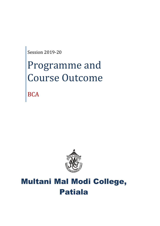Session 2019-20

# Programme and Course Outcome

**BCA** 



# Multani Mal Modi College, Patiala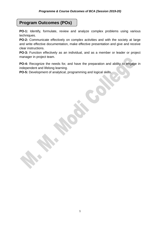## **Program Outcomes (POs)**

**PO-1:** Identify, formulate, review and analyze complex problems using various techniques.

**PO-2:** Communicate effectively on complex activities and with the society at large and write effective documentation, make effective presentation and give and receive clear instructions.

**PO-3:** Function effectively as an individual, and as a member or leader or project manager in project team.

**PO-4:** Recognize the needs for, and have the preparation and ability to engage in independent and lifelong learning.

**PO-5:** Development of analytical, programming and logical skills.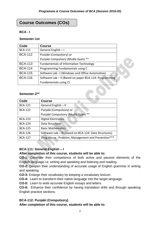## **Course Outcomes (COs)**

## **BCA - I**

#### **Semester-1st**

| Code           | <b>Course</b>                                          |
|----------------|--------------------------------------------------------|
| <b>BCA-111</b> | General English - I                                    |
| <b>BCA-112</b> | Punjabi (Compulsory) or                                |
|                | Punjabi Compulsory (Mudla Gyan) **                     |
| <b>BCA-113</b> | <b>Fundamentals of Information Technology</b>          |
| <b>BCA-114</b> | Programming Fundamentals using C                       |
| <b>BCA-115</b> | Software Lab - (Windows and Office Automation)         |
| <b>BCA-116</b> | Software Lab - II (Based on paper BCA-114: Programming |
|                | Fundamentals using C)                                  |
| Semester-2nd   |                                                        |

#### Semester-2<sup>nd</sup>

| Code           | <b>Course</b>                                          |
|----------------|--------------------------------------------------------|
| <b>BCA-121</b> | General English - II                                   |
| <b>BCA-122</b> | Punjabi (Compulsory) or                                |
|                | Punjabi Compulsory (Mudla Gyan) **                     |
| <b>BCA-123</b> | <b>Digital Electronics</b>                             |
| <b>BCA-124</b> | Data Structures                                        |
| <b>BCA-125</b> | <b>Basic Mathematics</b>                               |
| <b>BCA-126</b> | Software Lab - III (based on BCA-124: Data Structures) |
| <b>BCA-127</b> | Drug Abuse : Problem, Management and Prevention***     |

## **BCA-111: General English – I**

**SANA** 

## **After completion of this course, students will be able to:**

**CO-1:** Generate their competence of both active and passive elements of the English language i.e, writing and speaking and listening and reading.

**CO-2:** Deepen their understanding of accurate usage of English grammar in writing and speaking.

**CO-3:** Enlarge their vocabulary by keeping a vocabulary lexicon.

**CO-4:** Learn to transform their native language into the target language.

**CO-5:** Learn to write accurate English essays and letters.

**CO-6:** Enhance their confidence by having translation drills and through speaking English practice sections.

## **BCA-112: Punjabi (Compulsory)**

**After completion of this course, students will be able to:**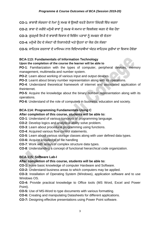**CO-1:** ਭਾਸ਼ਾਈ ਸੰਰਚਨਾ ਦੇ ਨੇਮਾਂ ਨੂੰ ਸਮਝ ਕੇ ਉਸਦੀ ਵਰਤੋਂ ਰੋਜ਼ਾਨਾ ਜ਼ਿੰਦਗੀ ਵਿੱਚ ਕਰਨਾ

CO-2: ਭਾਸ਼ਾ ਦੇ ਜਰੀਏ ਮਨੁੱਖੀ ਭਾਵਾਂ ਨੂੰ ਸਮਝ ਕੇ ਸਮਾਜ ਦਾ ਵਿਸ਼ਲੇਸ਼ਣ ਕਰਨ ਦੇ ਯੋਗ ਹੋਣਾ

**CO-3:** ਗੁਰਮੁਖੀ ਲਿਪੀ ਦੇ ਭਾਸ਼ਾਈ ਵਿਕਾਸ ਦੇ ਵਿਭਿੰਨ ਪੜਾਵਾਂ ਨੂੰ ਸਮਝਣ ਦੀ ਚੇਤਨਾ

CO-4: ਮਨੁੱਖੀ ਹੋਂਦ ਦੇ ਸੰਕਟਾਂ ਦੀ ਨਿਸ਼ਾਨਦੇਹੀ ਅਤੇ ਉਹਨਾਂ ਦਾ ਯੋਗ ਹੱਲ ਲੱਭਣਾ

CO-5: ਸਾਹਿਤਕ ਰਚਨਾਵਾਂ ਦੇ ਮਾਧਿਅਮ ਨਾਲ ਵਿਦਿਆਰਥੀਆਂ ਅੰਦਰ ਸਾਹਿਤਕ ਰਚੀਆਂ ਦਾ ਵਿਕਾਸ ਹੋਵੇਗਾ

## **BCA-113: Fundamentals of Information Technology**

## **Upon the completion of the course the learner will be able to**

**PO-1**: Familiarization with the types of computer, peripheral devices, memory management, multimedia and number system.

**PO-2**: Learn about working of various input and output devices.

**PO-3**: Learnt about binary number representation along with its operations.

**PO-4**: Understand theoretical framework of internet and associated application of theinternet.

**PO-5:** Acquire the knowledge about the binary number representation along with its operations.

**PO-6**: Understand of the role of computers in business, education and society.

## **BCA-114: Programming Fundamentals Using C**

## **After completion of this course, students will be able to:**

**CO-1**: Understand of various concepts of programming language.

**CO-2**: Develop logics and analytical ability solve problem.

- **CO-3**: Learn about procedural programming using functions.
- **CO-4**: Acquired various flow control statements.
- **CO-5**: Learn about various storage classes along with user defined data types.

**CO-6:** Acquire knowledge of file handling

**CO-7**: Work with arrays of complex structure data types.

**CO-8**: Understanding a concept of functional hierarchical code organization.

## **BCA-115: Software Lab-I**

## **After completion of this course, students will be able to:**

**CO-1:** Have basic knowledge of computer Hardware and Software.

**CO-2:** Understand business areas to which computers may be applied.

**CO-3:** Installation of Operating System (Windows), application software and to use Windows OS.

**CO-4:** Provide practical knowledge to Office tools (MS Word, Excel and Power Point).

**CO-5:** Use of MS-Word to type documents with various formatting.

**CO-6:** Creating and manipulating Datasheets for different applications.

**CO-7:** Designing effective presentations using Power Point software.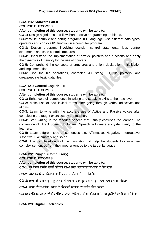## **BCA-116: Software Lab-II**

## **COURSE OUTCOMES**

## **After completion of this course, students will be able to:**

**CO-1:** Design algorithms and flowchart to solve programming problems.

**CO-2:** Write, compile and debug programs in C language. Use different data types, operators and console I/O function in a computer program.

**CO-3:** Design programs involving decision control statements, loop control statements and case control structures.

**CO-4:** Understand the implementation of arrays, pointers and functions and apply the dynamics of memory by the use of pointers.

**CO-5:** Comprehend the concepts of structures and union: declaration, initialization and implementation.

**CO-6:** Use the file operations, character I/O, string I/O, file pointers, and create/update basic data files.

## **BCA-121: General English – II COURSE OUTCOMES**

## **After completion of this course, students will be able to:**

**CO-1:** Enhance their competence in writing and speaking skills to the next level.

**CO-2:** Make use of new lexical terms after going through verbs, adjectives and idioms.

**CO-3:** Learn to write with the accurate use of Active and Passive voices after completing the taught exercises by the teacher.

**CO-4:** Start writing in the reported speech that usually confuses the learner. The conversion of Direct Speech to Indirect Speech will create a crystal clarity to the learners.

**CO-5:** Learn different type of sentences e.g. Affirmative, Negative, Interrogative, Assertive, Exclamatory and so on.

**CO-6:** The next level drills of the translation will help the students to create new complex sentences from their mother tongue to the target language.

#### **BCA-122: Punjabi (Compulsory) COURSE OUTCOMES**

## **After completion of this course, students will be able to:**

CO-1: ਰੁਪਾਕਾਰ ਨਿਬੰਧ ਰਾਹੀਂ ਜ਼ਿੰਦਗੀ ਦੀਆਂ ਤਲਖ਼ ਹਕੀਕਤਾਂ ਸਮਝਣ ਦੇ ਯੋਗ ਹੋਣਾ

**CO-2:** ਵਪਾਰਕ ਪੱਤਰ ਵਿਹਾਰ ਰਾਹੀਂ ਵਪਾਰਕ ਪੱਧਰ 'ਤੇ ਸਮਰੱਥ ਹੋਣਾ

CO-3: ਭਾਸ਼ਾ ਦੇ ਵਿਭਿੰਨ ਰੁਪਾਂ ਨੂੰ ਸਮਝ ਕੇ ਸਮਾਜ ਵਿੱਚ ਪ੍ਰਭਾਵਸ਼ਾਲੀ ਰੁਪ ਵਿੱਚ ਵਿਚਰਨ ਦੀ ਯੋਗਤਾ

**CO-4:** ਭਾਸ਼ਾ ਦੀ ਸਮਰਿੱ ਥਾ ਪਛਾਣ ਕੇਅੰ ਦਰਲੀ ਯੋਗਤਾ ਦਾ ਸਹੀ ਪਰਯੋਗ ਕਰਨਾ

CO-5: ਸਾਹਿਤਕ ਰਚਨਾਵਾਂ ਦੇ ਮਾਧਿਅਮ ਨਾਲ ਵਿਦਿਆਰਥੀਆਂ ਅੰਦਰ ਸਾਹਿਤਕ ਰਚੀਆਂ ਦਾ ਵਿਕਾਸ ਹੋਵੇਗਾ

## **BCA-123: Digital Electronics**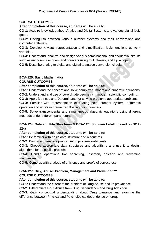## **COURSE OUTCOMES**

#### **After completion of this course, students will be able to:**

**CO-1:** Acquire knowledge about Analog and Digital Systems and various digital logic gates.

**CO-2:** Distinguish between various number systems and their conversions and computer arithmetic.

**CO-3:** Develop K-Maps representation and simplification logic functions up to 4 variables.

**CO-4:** Understand, analyze and design various combinational and sequential circuits such as encoders, decoders and counters using multiplexers, and flip – flops.

**CO-5:** Describe analog to digital and digital to analog conversion circuits.

## **BCA-125: Basic Mathematics**

## **COURSE OUTCOMES**

#### **After completion of this course, students will be able to:**

**CO-1:** Understand the concept and solve complex numbers and quadratic equations.

**CO-2:** Understand and use of co-ordinate geometry in modern scientific computing.

**CO-3:** Apply Matrices and Determinants for solving problems appropriate problems.

**CO-4:** Familiar with representation of floating point number system, arithmetic operation and errors in normalized floating point numbers.

**CO-5:** Solve transcendental and simultaneous algebraic equations using different methods under different parameters.

## **BCA-124: Data and File Structures & BCA-126: Software Lab-III (based on BCA-124)**

## **After completion of this course, students will be able to:**

**CO-1:** Be familiar with basic data structure and algorithms.

**CO-2:** Design and analyze programming problem statements

**CO-3:** Choose appropriate data structures and algorithms and use it to design algorithms for a specific problem.

**CO-4:** Handle operations like searching, insertion, deletion and traversing mechanism

**CO-5:** Come up with analysis of efficiency and proofs of correctness

## **BCA-127: Drug Abuse: Problem, Management and Prevention\*\*\* COURSE OUTCOMES**

## **After completion of this course, students will be able to:**

**CO-1:** Understand the extent of the problem of Drug Abuse and its prevalence.

**CO-2:** Differentiate Drug Abuse from Drug Dependence and Drug Addiction.

**CO-3:** Gain conceptual understanding about Drug tolerance and examine the difference between Physical and Psychological dependence on drugs.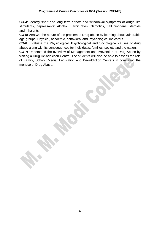**CO-4:** Identify short and long term effects and withdrawal symptoms of drugs like stimulants, depressants: Alcohol, Barbiturates, Narcotics, hallucinogens, steroids and Inhalants.

**CO-5:** Analyze the nature of the problem of Drug abuse by learning about vulnerable age groups, Physical, academic, behavioral and Psychological indicators.

**CO-6:** Evaluate the Physiological, Psychological and Sociological causes of drug abuse along with its consequences for individuals, families, society and the nation.

**CO-7:** Understand the overview of Management and Prevention of Drug Abuse by visiting a Drug De-addiction Centre. The students will also be able to assess the role of Family, School, Media, Legislation and De-addiction Centers in combating the menace of Drug Abuse.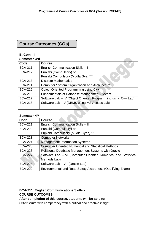## **Course Outcomes (COs)**

## **B. Com - II**

| Semester-3rd |  |
|--------------|--|
|--------------|--|

| טייט וטטער     |                                                               |
|----------------|---------------------------------------------------------------|
| Code           | <b>Course</b>                                                 |
| <b>BCA-211</b> | English Communication Skills - I                              |
| <b>BCA-212</b> | Punjabi (Compulsory) or                                       |
|                | Punjabi Compulsory (Mudla Gyan)**                             |
| <b>BCA-213</b> | <b>Discrete Mathematics</b>                                   |
| <b>BCA-214</b> | <b>Computer System Organization and Architecture</b>          |
| <b>BCA-215</b> | Object Oriented Programming using C++                         |
| <b>BCA-216</b> | <b>Fundamentals of Database Management System</b>             |
| <b>BCA-217</b> | Software Lab - IV (Object Oriented Programming using C++ Lab) |
| <b>BCA-218</b> | Software Lab - V (DBMS using MS Access Lab)                   |
|                |                                                               |

## Semester-4<sup>th</sup>

| Code           | <b>Course</b>                                                  |
|----------------|----------------------------------------------------------------|
| <b>BCA-221</b> | English Communication Skills - II                              |
| <b>BCA-222</b> | Punjabi (Compulsory) or                                        |
|                | Punjabi Compulsory (Mudla Gyan) **                             |
| <b>BCA-223</b> | <b>Computer Networks</b>                                       |
| <b>BCA-224</b> | <b>Management Information Systems</b>                          |
| <b>BCA-225</b> | <b>Computer Oriented Numerical and Statistical Methods</b>     |
| <b>BCA-226</b> | Relational Database Management Systems with Oracle             |
| <b>BCA-227</b> | Software Lab - VI (Computer Oriented Numerical and Statistical |
|                | Methods Lab)                                                   |
| <b>BCA-228</b> | Software Lab - VII (Oracle Lab)                                |
| <b>BCA-229</b> | Environmental and Road Safety Awareness (Qualifying Exam)      |

## **BCA-211: English Communications Skills - I COURSE OUTCOMES**

## **After completion of this course, students will be able to:**

**CO-1:** Write with competency with a critical and creative insight.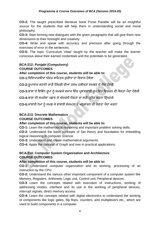**CO-2:** The taught prescribed literature book Prose Parable will be an insightful source for the students that will help them in understanding social and moral philosophy.

**CO-3:** Start forming new dialogues with the given paragraphs that will give them new dimensions to their foresight and creativity.

**CO-4:** Write and speak with accuracy and precision after going through the exercises of error in the sentences.

**CO-5:** The topic 'Curriculum Vitae' taught by the teacher will make the learner conscious about their earned credentials and the potentials to be generated.

## **BCA-212: Punjabi (Compulsory) COURSE OUTCOMES**

## **After completion of this course, students will be able to:**

**CO-1:**ਜ਼ਵਜ਼ਦਆਰਥੀਆਂ ਅੰ ਦਰ ਸਾਜ਼ਹਤਕ ਰ ਚੀਆਂ ਦਾ ਜ਼ਵਕਾਸ ਹੋਵੇਗਾ

CO-2:ਰੁਪਾਕਾਰ ਕਹਾਣੀ ਰਾਹੀਂ ਜ਼ਿੰਦਗੀ ਦੀਆਂ ਤਲਖ਼ ਹਕੀਕਤਾਂ ਸਮਝਣ ਦੇ ਯੋਗ ਹੋਣਗੇ

CO-3:ਭਾਸ਼ਾ ਦੇ ਵਿਭਿੰਨ ਰੁਪਾਂ ਨੂੰ ਸਮਝਕੇ ਸਮਾਜ ਵਿੱਚ ਪ੍ਰਭਾਵਸ਼ਾਲੀ ਰੁਪ ਵਿੱਚ ਵਿਚਰਨ ਦੀ ਯੋਗਤਾ ਪੈਦਾ ਹੋਵੇਗੀ

CO-4:ਭਾਸ਼ਾ ਦੀ ਸਮਰੱਥਾ ਪਛਾਣ ਕੇ ਅੰਦਰਲੀ ਯੋਗਤਾ ਦਾ ਸਹੀ ਪਯੋਗ ਕਰਨਾ ਸਿੱਖਣਗੇ

CO-5:ਭਾਸ਼ਾਈ ਨੇਮਾਂ ਨੂੰ ਸਮਝ ਕੇ ਭਾਸ਼ਾਈ ਸੰਜਮਤਾ ਤੇ ਅਨੁਸ਼ਾਸ਼ਨ ਦੀ ਯੋਗਤਾ ਪੈਦਾ ਕਰਨਾ

## **BCA-213: Discrete Mathematics**

## **COURSE OUTCOMES**

## **After completion of this course, students will be able to:**

**CO-1:** Learn the mathematical reasoning and important problem solving skills.

**CO-2:** Understand the basic concepts of Set theory and foundation for imbedding logical reasoning in computer science.

**CO-3:** Understand and create mathematical arguments.

**CO-4:** Apply the concept of Graph and tree in practical applications.

## **BCA-214: Computer System Organization and Architecture COURSE OUTCOMES**

## **After completion of this course, students will be able to:**

**CO-1:** Understand computer organization and its working, processing of an instruction by the CPU.

**CO-2:** Understand the various other important component of a computer system like Memory, Registers, Arithmetic Logic unit, Control unit, Peripheral devices,

**CO-3** Learn the concepts related with execution of instructions, working of addressing modes, interface and its use in the working of peripheral devices, interrupt signals, direct memory access.

**CO-4:** Learn the concepts related with digital electronics to understand the working of components like logic gates, flip flops, counters, and multiplexers etc., which are used to build components in a computer.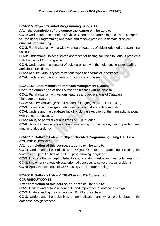## **BCA-215: Object Oriented Programming using C++**

## **After the completion of the course the learner will be able to**

**CO-1**: Understand the benefits of Object-Oriented Programming (OOP) as compare to Traditional Programming approach and resolve problem in domain of objectoriented programming.

**CO-2**: Familiarization with a widely range of features of object-oriented programming using C++

**CO-3**: Understand Object oriented approach for finding solutions to various problems with the help of C++ language.

**CO-4**: Understand the concept of polymorphism with the help function overloading and virtual functions.

**CO-5**: Acquire various types of various types and forms of inheritance.

**CO-6**: Understand basic of generic functions and classes.

# **BCA-216: Fundamentals of Database Management System**

## **Upon the completion of the course the learner will be able to**

**CO-1**: Familiarization with various features and applications of Database Management system.

**CO-2**: Acquire knowledge about database languages (DDL, DML, DCL)

**CO-3**: Learn how to design a database by using different data models.

**CO-4**: Understand the database handling during execution of the transactions along with concurrent access.

**CO-5**: Ability to perform various types of SQL queries.

**CO-6**: Able to design a good database using normalization, decomposition and functional dependency

## **BCA-217: Software Lab – IV (Object Oriented Programming using C++ Lab) COURSE OUTCOMES**

## **After completion of this course, students will be able to:**

**CO-1:** Understand the intricacies of Object Oriented Programming including the features and peculiarities of the C++ programming language.

**CO-2:** Illustrate the concept of Inheritance, operator overloading, and polymorphism.

**CO-3:** Implement various objects oriented concepts to solve practical problems.

**CO-4:** Apply the concepts of OOPs using C++ in programming.

## **BCA-218: Software Lab – V (DBMS using MS-Access Lab) COURSEOUTCOMES**

## **After completion of this course, students will be able to:**

**CO-1:** Understand database concepts and importance of database design.

**CO-2:** Understanding the concepts of DMBS architecture.

**CO-3:** Understand the objectives of normalization and what role it plays in the database design process.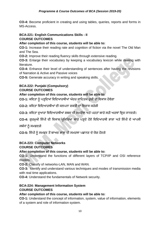**CO-4:** Become proficient in creating and using tables, queries, reports and forms in MS-Access.

## **BCA-221: English Communications Skills - II COURSE OUTCOMES**

## **After completion of this course, students will be able to:**

**CO-1:** Increase their reading rate and cognition of fiction via the novel The Old Man and The Sea.

**CO-2:** Improve their reading fluency skills through extensive reading.

**CO-3:** Enlarge their vocabulary by keeping a vocabulary lexicon while dealing with literature.

**CO-4:** Enhance their level of understanding of sentences after having the revisions of Narration & Active and Passive voices

**CO-5:** Generate accuracy in writing and speaking skills.

## **BCA-222: Punjabi (Compulsory) COURSE OUTCOMES**

## **After completion of this course, students will be able to:**

CO-1: ਕਵਿਤਾ ਨੂੰ ਪੜਦਿਆਂ ਵਿਦਿਆਰਥੀਆਂ ਅੰਦਰ ਸਾਹਿਤਕ ਰਚੀ ਦਾ ਵਿਕਾਸ ਹੋਵੇਗਾ

**CO-2:** ਕਜ਼ਵਤਾ ਜ਼ਵਜ਼ਦਆਰਥੀਆਂ ਦੀ ਕਲਪਨਾ ਸ਼ਕਤੀ ਦਾ ਜ਼ਵਕਾਸ ਕਰੇਗੀ

CO-3: ਕਵਿਤਾ ਦਆਰਾ ਵਿਦਿਆਰਥੀਆਂ ਸ਼ਬਦ ਦੀ ਸਮਰੱਥਾ ਅਤੇ ਪਰਤਾਂ ਬਾਰੇ ਸਹੀ ਅਰਥਾਂ ਵਿਚ ਜਾਨਣਗੇ।

CO-4: ਗੁਰਮੁਖੀ ਲਿੱਪੀ ਦੀ ਵਿਕਾਸ ਪ੍ਰਕਿਰਿਆ ਬਾਰੇ ਪੜ੍ਹਦੇ ਹੋਏ ਵਿਦਿਆਰਥੀ ਭਾਸ਼ਾ ਅਤੇ ਲਿੱਪੀ ਦੇ ਆਪਸੀ

ਸਬੰਧਾਂ ਨੰ ਸਮਝਣਗੇ

**CO-5:** ਜ਼ਲਿੱ ਪੀ ਨ ੰ ਸਮਝਣ ਤੋਂਬਾਅਦ ਭਾਸ਼ਾ ਦੀ ਸਮਰਥਾ ਪਛਾਨਣ ਦੇਯੋਗ ਹੋਣਗੇ

# **BCA-223: Computer Networks**

## **COURSE OUTCOMES**

## **After completion of this course, students will be able to:**

**CO-1:** Understand the functions of different layers of TCP/IP and OSI reference models.

**CO-2:** Classify of networks-LAN, MAN and WAN.

**CO-3:** Identify and understand various techniques and modes of transmission media with real time applications.

**CO-4:** Understand the fundamentals of Network security.

## **BCA-224: Management Information System COURSE OUTCOMES**

## **After completion of this course, students will be able to:**

**CO-1:** Understand the concept of information, system, value of information, elements of a system and role of information system.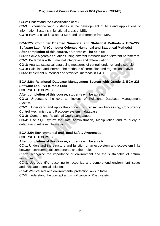**CO-2:** Understand the classification of MIS.

**CO-3:** Experience various stages in the development of MIS and applications of Information Systems in functional areas of MIS.

**CO-4:** Have a clear idea about DSS and its difference from MIS.

## **BCA-225: Computer Oriented Numerical and Statistical Methods & BCA-227: Software Lab – VI (Computer Oriented Numerical and Statistical Methods) After completion of this course, students will be able to:**

**CO-1:** Solve algebraic equations using different methods under different parameters. **CO-2:** Be familiar with numerical integration and differentiation

**CO-3:** Analyze statistical data using measures of central tendency and dispersion.

**CO-4:** Calculate and interpret the methods of correlation and regression analysis.

**CO-5:** Implement numerical and statistical methods in C/C++.

## **BCA-226: Relational Database Management System with Oracle & BCA-228: Software Lab – VII (Oracle Lab)**

#### **COURSE OUTCOMES**

**After completion of this course, students will be able to:** 

**CO-1:** Understand the core terminology of Relational Database Management System.

**CO-2:** Understand and apply the concept of Transaction Processing, Concurrency Control Mechanism, and Recovery system in database.

**CO-3:** Comprehend Relational Query Languages.

**CO-4:** Use SQL syntax for Data Administration, Manipulation and to query a database to retrieve information.

## **BCA-229: Environmental and Road Safety Awareness COURSE OUTCOMES**

## **After completion of this course, students will be able to:**

CO-1: Understand the structure and function of an ecosystem and ecosystem links between environmental components and their role.

CO-2: Recognize the importance of environment and the sustainable of natural resources.

CO-3: Use scientific reasoning to recognize and comprehend environment issues and evaluate potential solutions.

CO-4: Well versed with environmental protection laws in India.

CO-5: Understand the concept and significance of Road safety.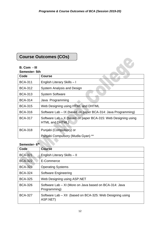# **Course Outcomes (COs)**

## **B. Com - III**

| Semester- 5th  |                                                                                    |
|----------------|------------------------------------------------------------------------------------|
| Code           | <b>Course</b>                                                                      |
| <b>BCA-311</b> | English Literary Skills - I                                                        |
| <b>BCA-312</b> | System Analysis and Design                                                         |
| <b>BCA-313</b> | <b>System Software</b>                                                             |
| <b>BCA-314</b> | Java Programming                                                                   |
| <b>BCA-315</b> | Web Designing using HTML and DHTML                                                 |
| <b>BCA-316</b> | Software Lab – IX (based on paper BCA-314: Java Programming)                       |
| <b>BCA-317</b> | Software Lab $- X$ (based on paper BCA-315: Web Designing using<br>HTML and DHTML) |
| <b>BCA-318</b> | Punjabi (Compulsory) or                                                            |
|                | Punjabi Compulsory (Mudla Gyan) **                                                 |

 $\sim$ 

#### **Semester- 6 th**

| Code           | <b>Course</b>                                                          |
|----------------|------------------------------------------------------------------------|
| <b>BCA-321</b> | <b>English Literary Skills - II</b>                                    |
| <b>BCA-322</b> | E-Commerce                                                             |
| <b>BCA-323</b> | <b>Operating Systems</b>                                               |
| <b>BCA-324</b> | <b>Software Engineering</b>                                            |
| <b>BCA-325</b> | Web Designing using ASP.NET                                            |
| <b>BCA-326</b> | Software Lab – XI (More on Java based on BCA-314: Java<br>Programming) |
| <b>BCA-327</b> | Software Lab - XII (based on BCA-325: Web Designing using<br>ASP.NET)  |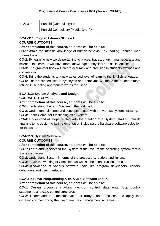| <b>BCA-328</b> | Punjabi (Compulsory) or            |
|----------------|------------------------------------|
|                | Punjabi Compulsory (Mudla Gyan) ** |

## **BCA -311: English Literary Skills – I COURSE OUTCOMES**

## **After completion of this course, students will be able to:**

**CO-1**: Attain the intrinsic knowledge of human behaviour by reading Popular Short Stories book.

**CO-2**: By learning new words pertaining to places, trades, church, marriage, arts and science, the learners will have more knowledge of physical and social entities.

**CO-3**: The grammar book will create accuracy and precision in students' writings and conversation.

**CO-4**: Bring the students to a new advanced level of learning the English language.

**CO-5**: The prescribed lists of synonyms and antonyms will make the students more refined in selecting appropriate words for usage.

# **BCA-312: System Analysis and Design**

## **COURSE OUTCOMES**

## **After completion of this course, students will be able to:**

**CO-1**: Understand the term System in the real world.

**CO-2**: Understand all terms and concepts related with the various systems existing.

**CO-3**: Learn Computer functioning as a System.

**CO-4**: Understand all steps related with the creation of a System, starting from its analysis to its design to its implementation including the hardware software selection for the same.

#### **BCA-313: System Software COURSE OUTCOMES**

## **After completion of this course, students will be able to:**

**CO-1**: Learn and understand the System at the level of the operating system that is System software.

**CO-2**: Understand System in terms of the processors, loaders and linkers.

**CO-3**: Learn the working of Compilers as well as their construction and use.

**CO-4**: Knowledge of various software tools like program developers, editors, debuggers and user interfaces.

## **BCA-314: Java Programming & BCA-316: Software Lab-IX**

## **After completion of this course, students will be able to:**

**CO-1**: Design programs involving decision control statements, loop control statements and case control structures.

**CO-2**: Understand the implementation of arrays, and functions and apply the dynamics of memory by the use of memory management schemes.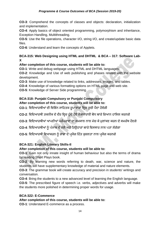**CO-3**: Comprehend the concepts of classes and objects: declaration, initialization and implementation.

**CO-4**: Apply basics of object oriented programming, polymorphism and inheritance, Exception Handling, Multithreading.

**CO-5**: Use the file operations, character I/O, string I/O, and create/update basic data files.

**CO-6**: Understand and learn the concepts of Applets.

## **BCA-315: Web Designing using HTML and DHTML & BCA – 317: Software Lab-X**

## **After completion of this course, students will be able to:**

**CO-1**: Write and debug webpage using HTML and DHTML languages.

**CO-2**: Knowledge and Use of web publishing and phases related with the website development.

**CO-3**: Make use of knowledge related to links, addresses, images, and tables.

**CO-4**: Knowledge of various formatting options on HTML page and web site.

**CO-5**: Knowledge of Server Side programming.

## **BCA-318: Punjabi Compulsory or Punjabi Compulsory**

## **After completion of this course, students will be able to:**

CO-1: ਵਿਦਿਆਰਥੀਆਂ ਦੀ ਵਿਭਿੰਨ ਸਾਹਿਤਕ ਰੁਪਾਕਾਰਾਂ ਵਿਚ ਰਚੀ ਪੈਦਾ ਹੋਵੇਗੀ

- CO-2: ਵਿਦਿਆਰਥੀ ਤਕਨੀਕ ਦੇ ਦੌਰ ਵਿਚ ਹੁੰਦੇ ਹੋਏ ਲੋਕਧਾਰਾਈ ਬੋਧ ਬਾਰੇ ਗਿਆਨ ਹਾਸਿਲ ਕਰਨਗੇ
- CO-3: ਵਿਦਿਆਰਥੀਆਂ ਆਪਣੀਆਂ ਪਰੰਪਰਾਵਾਂ ਦਾ ਸਮਕਾਲ ਨਾਲ ਮੇਚ ਕੇ ਮੁਲਾਂਕਣ ਕਰਨ ਦੇ ਸਮਰੱਥ ਹੋਣਗੇ
- CO-4: ਵਿਦਿਆਰਥੀਆਂ ਨੂੰ ਪੰਜਾਬ ਦੇ ਮੇਲੇ ਅਤੇ ਤਿਉਹਾਰਾਂ ਬਾਰੇ ਵਿਸਥਾਰ ਨਾਲ ਪਤਾ ਲੱਗੇਗਾ
- CO-5: ਵਿਦਿਆਰਥੀ ਵਿਆਕਰਨ ਨੂੰ ਭਾਸ਼ਾ ਦੇ ਪ੍ਰਯੋਗ ਹਿੱਤ ਕੁਸ਼ਲਤਾ ਨਾਲ ਪ੍ਰਯੋਗ ਕਰਨਗੇ

## **BCA-321: English Literary Skills-II**

## **After completion of this course, students will be able to:**

**CO-1**: Gain not only innate insight of human behaviour but also the terms of drama by reading Short Plays book.

**CO-2**: By learning new words referring to death, war, science and nature, the students will have supplementary knowledge of material and nature elements.

**CO-3**: The grammar book will create accuracy and precision in students' writings and conversation.

**CO-4**: Bring the students to a new advanced level of learning the English language.

**CO-5**: The prescribed figure of speech i.e. verbs, adjectives and adverbs will make the students more polished in determining proper words for usage.

## **BCA-322: E-Commerce**

## **After completion of this course, students will be able to:**

**CO-1**: Understand E-commerce as a process.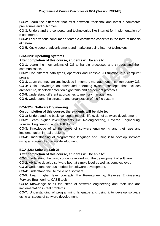**CO-2**: Learn the difference that exist between traditional and latest e-commerce procedures and outcomes.

**CO-3**: Understand the concepts and technologies like internet for implementation of e-commerce.

**CO-4**: Learn various consumer oriented e-commerce concepts in the form of models et cetera.

**CO-5**: Knowledge of advertisement and marketing using internet technology.

## **BCA-323: Operating Systems**

## **After completion of this course, students will be able to:**

**CO-1**: Learn the mechanisms of OS to handle processes and threads and their communication.

**CO-2**: Use different data types, operators and console I/O function in a computer program.

**CO-3**: Learn the mechanisms involved in memory management in contemporary OS.

**CO-4**: Gain knowledge on distributed operating system concepts that includes architecture, deadlock detection algorithms and agreement protocols.

**CO-5**: Understand different approaches to memory management.

**CO-6**: Understand the structure and organization of the file system

## **BCA-324: Software Engineering**

## **On completion of this course, the students will be able to:**

**CO-1:** Understand the basic concepts, models, life cycle of software development.

**CO-2:** Learn higher level concepts like Re-engineering, Reverse Engineering, Forward Engineering, and CASE tools.

**CO-3:** Knowledge of all the steps of software engineering and their use and implementation in real problems

**CO-4:** Understanding of programming language and using it to develop software using all stages of software development.

## **BCA-326: Software Lab-XI**

## **After completion of this course, students will be able to:**

**CO-1**: Understand the basic concepts related with the development of software.

**CO-2**: Ability to develop software both at simple level as well as complex level.

**CO-3**: Understand various models for software development.

**CO-4**: Understand the life cycle of a software.

**CO-5**: Learn higher level concepts like Re-engineering, Reverse Engineering, Forward Engineering, CASE tools.

**CO-6**: Knowledge of all the steps of software engineering and their use and implementation in real problems

**CO-7**: Understanding of programming language and using it to develop software using all stages of software development.